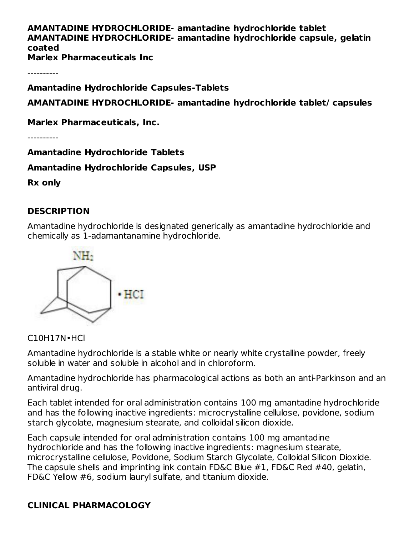#### **AMANTADINE HYDROCHLORIDE- amantadine hydrochloride tablet AMANTADINE HYDROCHLORIDE- amantadine hydrochloride capsule, gelatin coated Marlex Pharmaceuticals Inc**

**Amantadine Hydrochloride Capsules-Tablets**

**AMANTADINE HYDROCHLORIDE- amantadine hydrochloride tablet/ capsules**

**Marlex Pharmaceuticals, Inc.**

----------

**Amantadine Hydrochloride Tablets**

**Amantadine Hydrochloride Capsules, USP**

**Rx only**

#### **DESCRIPTION**

Amantadine hydrochloride is designated generically as amantadine hydrochloride and chemically as 1-adamantanamine hydrochloride.



#### C10H17N•HCl

Amantadine hydrochloride is a stable white or nearly white crystalline powder, freely soluble in water and soluble in alcohol and in chloroform.

Amantadine hydrochloride has pharmacological actions as both an anti-Parkinson and an antiviral drug.

Each tablet intended for oral administration contains 100 mg amantadine hydrochloride and has the following inactive ingredients: microcrystalline cellulose, povidone, sodium starch glycolate, magnesium stearate, and colloidal silicon dioxide.

Each capsule intended for oral administration contains 100 mg amantadine hydrochloride and has the following inactive ingredients: magnesium stearate, microcrystalline cellulose, Povidone, Sodium Starch Glycolate, Colloidal Silicon Dioxide. The capsule shells and imprinting ink contain FD&C Blue #1, FD&C Red #40, gelatin, FD&C Yellow #6, sodium lauryl sulfate, and titanium dioxide.

#### **CLINICAL PHARMACOLOGY**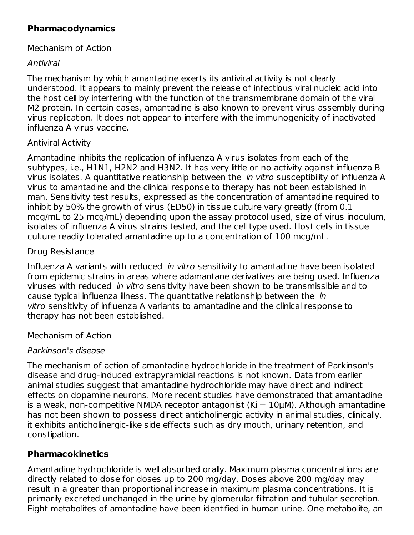### **Pharmacodynamics**

#### Mechanism of Action

#### Antiviral

The mechanism by which amantadine exerts its antiviral activity is not clearly understood. It appears to mainly prevent the release of infectious viral nucleic acid into the host cell by interfering with the function of the transmembrane domain of the viral M2 protein. In certain cases, amantadine is also known to prevent virus assembly during virus replication. It does not appear to interfere with the immunogenicity of inactivated influenza A virus vaccine.

#### Antiviral Activity

Amantadine inhibits the replication of influenza A virus isolates from each of the subtypes, i.e., H1N1, H2N2 and H3N2. It has very little or no activity against influenza B virus isolates. A quantitative relationship between the *in vitro* susceptibility of influenza A virus to amantadine and the clinical response to therapy has not been established in man. Sensitivity test results, expressed as the concentration of amantadine required to inhibit by 50% the growth of virus (ED50) in tissue culture vary greatly (from 0.1 mcg/mL to 25 mcg/mL) depending upon the assay protocol used, size of virus inoculum, isolates of influenza A virus strains tested, and the cell type used. Host cells in tissue culture readily tolerated amantadine up to a concentration of 100 mcg/mL.

#### Drug Resistance

Influenza A variants with reduced in vitro sensitivity to amantadine have been isolated from epidemic strains in areas where adamantane derivatives are being used. Influenza viruses with reduced in vitro sensitivity have been shown to be transmissible and to cause typical influenza illness. The quantitative relationship between the in vitro sensitivity of influenza A variants to amantadine and the clinical response to therapy has not been established.

Mechanism of Action

#### Parkinson's disease

The mechanism of action of amantadine hydrochloride in the treatment of Parkinson's disease and drug-induced extrapyramidal reactions is not known. Data from earlier animal studies suggest that amantadine hydrochloride may have direct and indirect effects on dopamine neurons. More recent studies have demonstrated that amantadine is a weak, non-competitive NMDA receptor antagonist  $(K = 10 \mu M)$ . Although amantadine has not been shown to possess direct anticholinergic activity in animal studies, clinically, it exhibits anticholinergic-like side effects such as dry mouth, urinary retention, and constipation.

### **Pharmacokinetics**

Amantadine hydrochloride is well absorbed orally. Maximum plasma concentrations are directly related to dose for doses up to 200 mg/day. Doses above 200 mg/day may result in a greater than proportional increase in maximum plasma concentrations. It is primarily excreted unchanged in the urine by glomerular filtration and tubular secretion. Eight metabolites of amantadine have been identified in human urine. One metabolite, an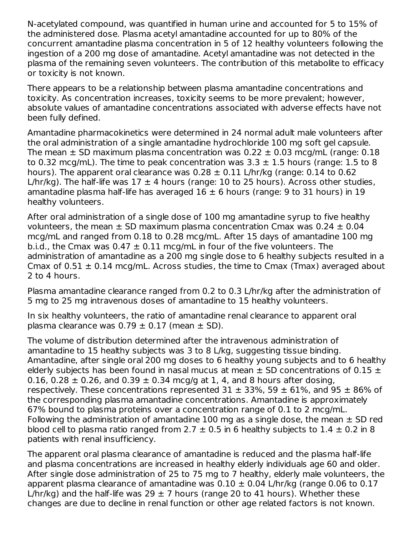N-acetylated compound, was quantified in human urine and accounted for 5 to 15% of the administered dose. Plasma acetyl amantadine accounted for up to 80% of the concurrent amantadine plasma concentration in 5 of 12 healthy volunteers following the ingestion of a 200 mg dose of amantadine. Acetyl amantadine was not detected in the plasma of the remaining seven volunteers. The contribution of this metabolite to efficacy or toxicity is not known.

There appears to be a relationship between plasma amantadine concentrations and toxicity. As concentration increases, toxicity seems to be more prevalent; however, absolute values of amantadine concentrations associated with adverse effects have not been fully defined.

Amantadine pharmacokinetics were determined in 24 normal adult male volunteers after the oral administration of a single amantadine hydrochloride 100 mg soft gel capsule. The mean  $\pm$  SD maximum plasma concentration was 0.22  $\pm$  0.03 mcg/mL (range: 0.18 to 0.32 mcg/mL). The time to peak concentration was  $3.3 \pm 1.5$  hours (range: 1.5 to 8 hours). The apparent oral clearance was  $0.28 \pm 0.11$  L/hr/kg (range: 0.14 to 0.62 L/hr/kg). The half-life was  $17 \pm 4$  hours (range: 10 to 25 hours). Across other studies, amantadine plasma half-life has averaged  $16 \pm 6$  hours (range: 9 to 31 hours) in 19 healthy volunteers.

After oral administration of a single dose of 100 mg amantadine syrup to five healthy volunteers, the mean  $\pm$  SD maximum plasma concentration Cmax was 0.24  $\pm$  0.04 mcg/mL and ranged from 0.18 to 0.28 mcg/mL. After 15 days of amantadine 100 mg b.i.d., the Cmax was  $0.47 \pm 0.11$  mcg/mL in four of the five volunteers. The administration of amantadine as a 200 mg single dose to 6 healthy subjects resulted in a Cmax of  $0.51 \pm 0.14$  mcg/mL. Across studies, the time to Cmax (Tmax) averaged about 2 to 4 hours.

Plasma amantadine clearance ranged from 0.2 to 0.3 L/hr/kg after the administration of 5 mg to 25 mg intravenous doses of amantadine to 15 healthy volunteers.

In six healthy volunteers, the ratio of amantadine renal clearance to apparent oral plasma clearance was  $0.79 \pm 0.17$  (mean  $\pm$  SD).

The volume of distribution determined after the intravenous administration of amantadine to 15 healthy subjects was 3 to 8 L/kg, suggesting tissue binding. Amantadine, after single oral 200 mg doses to 6 healthy young subjects and to 6 healthy elderly subjects has been found in nasal mucus at mean  $\pm$  SD concentrations of 0.15  $\pm$ 0.16, 0.28  $\pm$  0.26, and 0.39  $\pm$  0.34 mcg/g at 1, 4, and 8 hours after dosing, respectively. These concentrations represented  $31 \pm 33$ %, 59  $\pm 61$ %, and 95  $\pm 86$ % of the corresponding plasma amantadine concentrations. Amantadine is approximately 67% bound to plasma proteins over a concentration range of 0.1 to 2 mcg/mL. Following the administration of amantadine 100 mg as a single dose, the mean  $\pm$  SD red blood cell to plasma ratio ranged from 2.7  $\pm$  0.5 in 6 healthy subjects to 1.4  $\pm$  0.2 in 8 patients with renal insufficiency.

The apparent oral plasma clearance of amantadine is reduced and the plasma half-life and plasma concentrations are increased in healthy elderly individuals age 60 and older. After single dose administration of 25 to 75 mg to 7 healthy, elderly male volunteers, the apparent plasma clearance of amantadine was  $0.10 \pm 0.04$  L/hr/kg (range 0.06 to 0.17 L/hr/kg) and the half-life was 29  $\pm$  7 hours (range 20 to 41 hours). Whether these changes are due to decline in renal function or other age related factors is not known.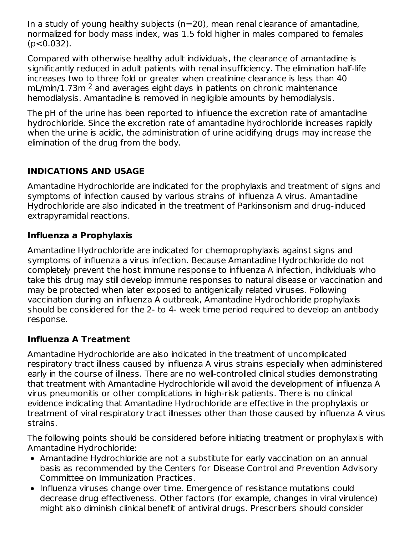In a study of young healthy subjects (n=20), mean renal clearance of amantadine, normalized for body mass index, was 1.5 fold higher in males compared to females  $(p<0.032)$ .

Compared with otherwise healthy adult individuals, the clearance of amantadine is significantly reduced in adult patients with renal insufficiency. The elimination half-life increases two to three fold or greater when creatinine clearance is less than 40  $mL/min/1.73m<sup>2</sup>$  and averages eight days in patients on chronic maintenance hemodialysis. Amantadine is removed in negligible amounts by hemodialysis.

The pH of the urine has been reported to influence the excretion rate of amantadine hydrochloride. Since the excretion rate of amantadine hydrochloride increases rapidly when the urine is acidic, the administration of urine acidifying drugs may increase the elimination of the drug from the body.

## **INDICATIONS AND USAGE**

Amantadine Hydrochloride are indicated for the prophylaxis and treatment of signs and symptoms of infection caused by various strains of influenza A virus. Amantadine Hydrochloride are also indicated in the treatment of Parkinsonism and drug-induced extrapyramidal reactions.

## **Influenza a Prophylaxis**

Amantadine Hydrochloride are indicated for chemoprophylaxis against signs and symptoms of influenza a virus infection. Because Amantadine Hydrochloride do not completely prevent the host immune response to influenza A infection, individuals who take this drug may still develop immune responses to natural disease or vaccination and may be protected when later exposed to antigenically related viruses. Following vaccination during an influenza A outbreak, Amantadine Hydrochloride prophylaxis should be considered for the 2- to 4- week time period required to develop an antibody response.

## **Influenza A Treatment**

Amantadine Hydrochloride are also indicated in the treatment of uncomplicated respiratory tract illness caused by influenza A virus strains especially when administered early in the course of illness. There are no well-controlled clinical studies demonstrating that treatment with Amantadine Hydrochloride will avoid the development of influenza A virus pneumonitis or other complications in high-risk patients. There is no clinical evidence indicating that Amantadine Hydrochloride are effective in the prophylaxis or treatment of viral respiratory tract illnesses other than those caused by influenza A virus strains.

The following points should be considered before initiating treatment or prophylaxis with Amantadine Hydrochloride:

- Amantadine Hydrochloride are not a substitute for early vaccination on an annual basis as recommended by the Centers for Disease Control and Prevention Advisory Committee on Immunization Practices.
- Influenza viruses change over time. Emergence of resistance mutations could decrease drug effectiveness. Other factors (for example, changes in viral virulence) might also diminish clinical benefit of antiviral drugs. Prescribers should consider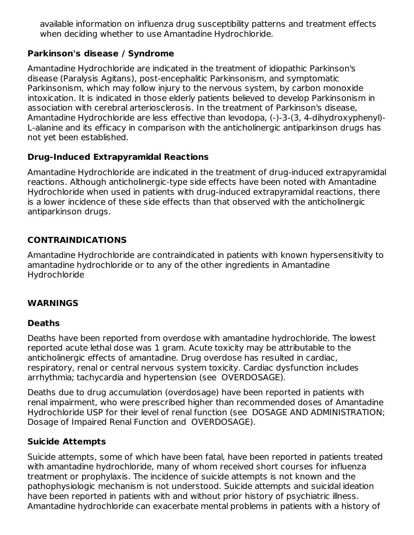available information on influenza drug susceptibility patterns and treatment effects when deciding whether to use Amantadine Hydrochloride.

#### **Parkinson's disease / Syndrome**

Amantadine Hydrochloride are indicated in the treatment of idiopathic Parkinson's disease (Paralysis Agitans), post-encephalitic Parkinsonism, and symptomatic Parkinsonism, which may follow injury to the nervous system, by carbon monoxide intoxication. It is indicated in those elderly patients believed to develop Parkinsonism in association with cerebral arteriosclerosis. In the treatment of Parkinson's disease, Amantadine Hydrochloride are less effective than levodopa, (-)-3-(3, 4-dihydroxyphenyl)- L-alanine and its efficacy in comparison with the anticholinergic antiparkinson drugs has not yet been established.

### **Drug-Induced Extrapyramidal Reactions**

Amantadine Hydrochloride are indicated in the treatment of drug-induced extrapyramidal reactions. Although anticholinergic-type side effects have been noted with Amantadine Hydrochloride when used in patients with drug-induced extrapyramidal reactions, there is a lower incidence of these side effects than that observed with the anticholinergic antiparkinson drugs.

### **CONTRAINDICATIONS**

Amantadine Hydrochloride are contraindicated in patients with known hypersensitivity to amantadine hydrochloride or to any of the other ingredients in Amantadine Hydrochloride

### **WARNINGS**

#### **Deaths**

Deaths have been reported from overdose with amantadine hydrochloride. The lowest reported acute lethal dose was 1 gram. Acute toxicity may be attributable to the anticholinergic effects of amantadine. Drug overdose has resulted in cardiac, respiratory, renal or central nervous system toxicity. Cardiac dysfunction includes arrhythmia; tachycardia and hypertension (see OVERDOSAGE).

Deaths due to drug accumulation (overdosage) have been reported in patients with renal impairment, who were prescribed higher than recommended doses of Amantadine Hydrochloride USP for their level of renal function (see DOSAGE AND ADMINISTRATION; Dosage of Impaired Renal Function and OVERDOSAGE).

### **Suicide Attempts**

Suicide attempts, some of which have been fatal, have been reported in patients treated with amantadine hydrochloride, many of whom received short courses for influenza treatment or prophylaxis. The incidence of suicide attempts is not known and the pathophysiologic mechanism is not understood. Suicide attempts and suicidal ideation have been reported in patients with and without prior history of psychiatric illness. Amantadine hydrochloride can exacerbate mental problems in patients with a history of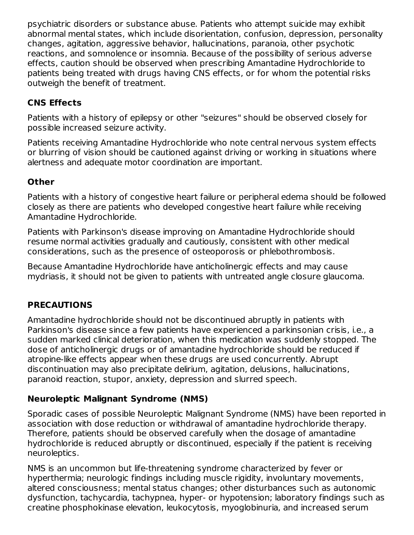psychiatric disorders or substance abuse. Patients who attempt suicide may exhibit abnormal mental states, which include disorientation, confusion, depression, personality changes, agitation, aggressive behavior, hallucinations, paranoia, other psychotic reactions, and somnolence or insomnia. Because of the possibility of serious adverse effects, caution should be observed when prescribing Amantadine Hydrochloride to patients being treated with drugs having CNS effects, or for whom the potential risks outweigh the benefit of treatment.

## **CNS Effects**

Patients with a history of epilepsy or other "seizures" should be observed closely for possible increased seizure activity.

Patients receiving Amantadine Hydrochloride who note central nervous system effects or blurring of vision should be cautioned against driving or working in situations where alertness and adequate motor coordination are important.

## **Other**

Patients with a history of congestive heart failure or peripheral edema should be followed closely as there are patients who developed congestive heart failure while receiving Amantadine Hydrochloride.

Patients with Parkinson's disease improving on Amantadine Hydrochloride should resume normal activities gradually and cautiously, consistent with other medical considerations, such as the presence of osteoporosis or phlebothrombosis.

Because Amantadine Hydrochloride have anticholinergic effects and may cause mydriasis, it should not be given to patients with untreated angle closure glaucoma.

### **PRECAUTIONS**

Amantadine hydrochloride should not be discontinued abruptly in patients with Parkinson's disease since a few patients have experienced a parkinsonian crisis, i.e., a sudden marked clinical deterioration, when this medication was suddenly stopped. The dose of anticholinergic drugs or of amantadine hydrochloride should be reduced if atropine-like effects appear when these drugs are used concurrently. Abrupt discontinuation may also precipitate delirium, agitation, delusions, hallucinations, paranoid reaction, stupor, anxiety, depression and slurred speech.

### **Neuroleptic Malignant Syndrome (NMS)**

Sporadic cases of possible Neuroleptic Malignant Syndrome (NMS) have been reported in association with dose reduction or withdrawal of amantadine hydrochloride therapy. Therefore, patients should be observed carefully when the dosage of amantadine hydrochloride is reduced abruptly or discontinued, especially if the patient is receiving neuroleptics.

NMS is an uncommon but life-threatening syndrome characterized by fever or hyperthermia; neurologic findings including muscle rigidity, involuntary movements, altered consciousness; mental status changes; other disturbances such as autonomic dysfunction, tachycardia, tachypnea, hyper- or hypotension; laboratory findings such as creatine phosphokinase elevation, leukocytosis, myoglobinuria, and increased serum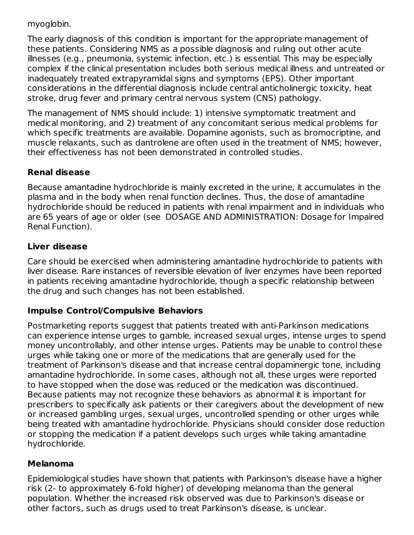myoglobin.

The early diagnosis of this condition is important for the appropriate management of these patients. Considering NMS as a possible diagnosis and ruling out other acute illnesses (e.g., pneumonia, systemic infection, etc.) is essential. This may be especially complex if the clinical presentation includes both serious medical illness and untreated or inadequately treated extrapyramidal signs and symptoms (EPS). Other important considerations in the differential diagnosis include central anticholinergic toxicity, heat stroke, drug fever and primary central nervous system (CNS) pathology.

The management of NMS should include: 1) intensive symptomatic treatment and medical monitoring, and 2) treatment of any concomitant serious medical problems for which specific treatments are available. Dopamine agonists, such as bromocriptine, and muscle relaxants, such as dantrolene are often used in the treatment of NMS; however, their effectiveness has not been demonstrated in controlled studies.

## **Renal disease**

Because amantadine hydrochloride is mainly excreted in the urine, it accumulates in the plasma and in the body when renal function declines. Thus, the dose of amantadine hydrochloride should be reduced in patients with renal impairment and in individuals who are 65 years of age or older (see DOSAGE AND ADMINISTRATION: Dosage for Impaired Renal Function).

## **Liver disease**

Care should be exercised when administering amantadine hydrochloride to patients with liver disease. Rare instances of reversible elevation of liver enzymes have been reported in patients receiving amantadine hydrochloride, though a specific relationship between the drug and such changes has not been established.

## **Impulse Control/Compulsive Behaviors**

Postmarketing reports suggest that patients treated with anti-Parkinson medications can experience intense urges to gamble, increased sexual urges, intense urges to spend money uncontrollably, and other intense urges. Patients may be unable to control these urges while taking one or more of the medications that are generally used for the treatment of Parkinson's disease and that increase central dopaminergic tone, including amantadine hydrochloride. In some cases, although not all, these urges were reported to have stopped when the dose was reduced or the medication was discontinued. Because patients may not recognize these behaviors as abnormal it is important for prescribers to specifically ask patients or their caregivers about the development of new or increased gambling urges, sexual urges, uncontrolled spending or other urges while being treated with amantadine hydrochloride. Physicians should consider dose reduction or stopping the medication if a patient develops such urges while taking amantadine hydrochloride.

### **Melanoma**

Epidemiological studies have shown that patients with Parkinson's disease have a higher risk (2- to approximately 6-fold higher) of developing melanoma than the general population. Whether the increased risk observed was due to Parkinson's disease or other factors, such as drugs used to treat Parkinson's disease, is unclear.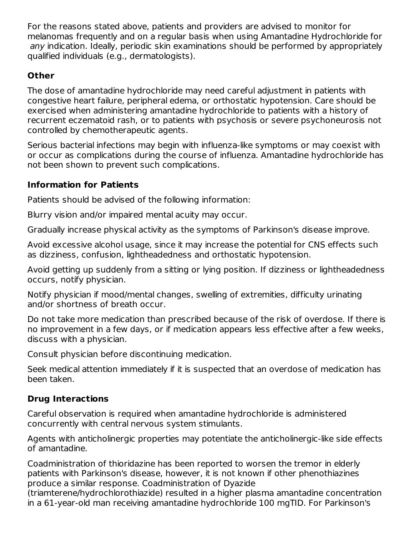For the reasons stated above, patients and providers are advised to monitor for melanomas frequently and on a regular basis when using Amantadine Hydrochloride for any indication. Ideally, periodic skin examinations should be performed by appropriately qualified individuals (e.g., dermatologists).

## **Other**

The dose of amantadine hydrochloride may need careful adjustment in patients with congestive heart failure, peripheral edema, or orthostatic hypotension. Care should be exercised when administering amantadine hydrochloride to patients with a history of recurrent eczematoid rash, or to patients with psychosis or severe psychoneurosis not controlled by chemotherapeutic agents.

Serious bacterial infections may begin with influenza-like symptoms or may coexist with or occur as complications during the course of influenza. Amantadine hydrochloride has not been shown to prevent such complications.

## **Information for Patients**

Patients should be advised of the following information:

Blurry vision and/or impaired mental acuity may occur.

Gradually increase physical activity as the symptoms of Parkinson's disease improve.

Avoid excessive alcohol usage, since it may increase the potential for CNS effects such as dizziness, confusion, lightheadedness and orthostatic hypotension.

Avoid getting up suddenly from a sitting or lying position. If dizziness or lightheadedness occurs, notify physician.

Notify physician if mood/mental changes, swelling of extremities, difficulty urinating and/or shortness of breath occur.

Do not take more medication than prescribed because of the risk of overdose. If there is no improvement in a few days, or if medication appears less effective after a few weeks, discuss with a physician.

Consult physician before discontinuing medication.

Seek medical attention immediately if it is suspected that an overdose of medication has been taken.

## **Drug Interactions**

Careful observation is required when amantadine hydrochloride is administered concurrently with central nervous system stimulants.

Agents with anticholinergic properties may potentiate the anticholinergic-like side effects of amantadine.

Coadministration of thioridazine has been reported to worsen the tremor in elderly patients with Parkinson's disease, however, it is not known if other phenothiazines produce a similar response. Coadministration of Dyazide

(triamterene/hydrochlorothiazide) resulted in a higher plasma amantadine concentration in a 61-year-old man receiving amantadine hydrochloride 100 mgTID. For Parkinson's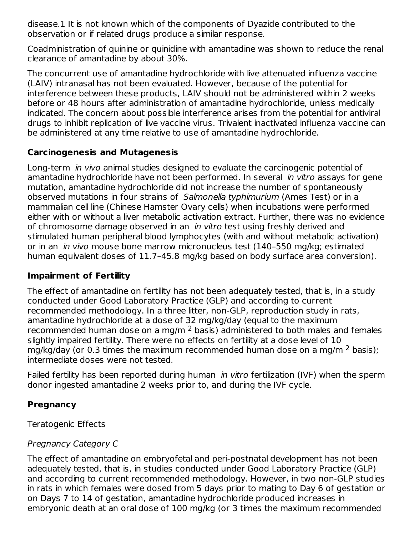disease.1 It is not known which of the components of Dyazide contributed to the observation or if related drugs produce a similar response.

Coadministration of quinine or quinidine with amantadine was shown to reduce the renal clearance of amantadine by about 30%.

The concurrent use of amantadine hydrochloride with live attenuated influenza vaccine (LAIV) intranasal has not been evaluated. However, because of the potential for interference between these products, LAIV should not be administered within 2 weeks before or 48 hours after administration of amantadine hydrochloride, unless medically indicated. The concern about possible interference arises from the potential for antiviral drugs to inhibit replication of live vaccine virus. Trivalent inactivated influenza vaccine can be administered at any time relative to use of amantadine hydrochloride.

#### **Carcinogenesis and Mutagenesis**

Long-term *in vivo* animal studies designed to evaluate the carcinogenic potential of amantadine hydrochloride have not been performed. In several *in vitro* assays for gene mutation, amantadine hydrochloride did not increase the number of spontaneously observed mutations in four strains of Salmonella typhimurium (Ames Test) or in a mammalian cell line (Chinese Hamster Ovary cells) when incubations were performed either with or without a liver metabolic activation extract. Further, there was no evidence of chromosome damage observed in an *in vitro* test using freshly derived and stimulated human peripheral blood lymphocytes (with and without metabolic activation) or in an *in vivo* mouse bone marrow micronucleus test (140-550 mg/kg; estimated human equivalent doses of 11.7–45.8 mg/kg based on body surface area conversion).

### **Impairment of Fertility**

The effect of amantadine on fertility has not been adequately tested, that is, in a study conducted under Good Laboratory Practice (GLP) and according to current recommended methodology. In a three litter, non-GLP, reproduction study in rats, amantadine hydrochloride at a dose of 32 mg/kg/day (equal to the maximum recommended human dose on a mg/m  $^2$  basis) administered to both males and females slightly impaired fertility. There were no effects on fertility at a dose level of 10 mg/kg/day (or 0.3 times the maximum recommended human dose on a mg/m  $^2$  basis); intermediate doses were not tested.

Failed fertility has been reported during human in vitro fertilization (IVF) when the sperm donor ingested amantadine 2 weeks prior to, and during the IVF cycle.

### **Pregnancy**

Teratogenic Effects

### Pregnancy Category C

The effect of amantadine on embryofetal and peri-postnatal development has not been adequately tested, that is, in studies conducted under Good Laboratory Practice (GLP) and according to current recommended methodology. However, in two non-GLP studies in rats in which females were dosed from 5 days prior to mating to Day 6 of gestation or on Days 7 to 14 of gestation, amantadine hydrochloride produced increases in embryonic death at an oral dose of 100 mg/kg (or 3 times the maximum recommended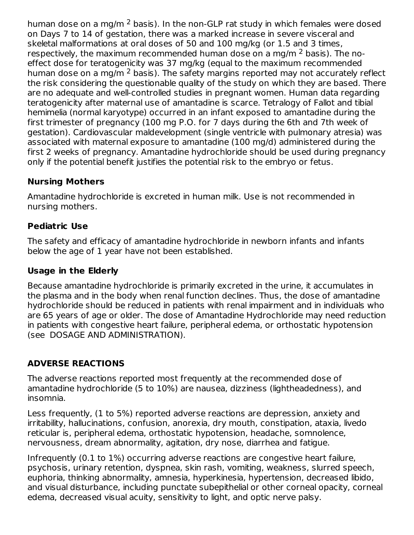human dose on a mg/m <sup>2</sup> basis). In the non-GLP rat study in which females were dosed on Days 7 to 14 of gestation, there was a marked increase in severe visceral and skeletal malformations at oral doses of 50 and 100 mg/kg (or 1.5 and 3 times, respectively, the maximum recommended human dose on a mg/m <sup>2</sup> basis). The noeffect dose for teratogenicity was 37 mg/kg (equal to the maximum recommended human dose on a mg/m  $^2$  basis). The safety margins reported may not accurately reflect the risk considering the questionable quality of the study on which they are based. There are no adequate and well-controlled studies in pregnant women. Human data regarding teratogenicity after maternal use of amantadine is scarce. Tetralogy of Fallot and tibial hemimelia (normal karyotype) occurred in an infant exposed to amantadine during the first trimester of pregnancy (100 mg P.O. for 7 days during the 6th and 7th week of gestation). Cardiovascular maldevelopment (single ventricle with pulmonary atresia) was associated with maternal exposure to amantadine (100 mg/d) administered during the first 2 weeks of pregnancy. Amantadine hydrochloride should be used during pregnancy only if the potential benefit justifies the potential risk to the embryo or fetus.

## **Nursing Mothers**

Amantadine hydrochloride is excreted in human milk. Use is not recommended in nursing mothers.

## **Pediatric Use**

The safety and efficacy of amantadine hydrochloride in newborn infants and infants below the age of 1 year have not been established.

### **Usage in the Elderly**

Because amantadine hydrochloride is primarily excreted in the urine, it accumulates in the plasma and in the body when renal function declines. Thus, the dose of amantadine hydrochloride should be reduced in patients with renal impairment and in individuals who are 65 years of age or older. The dose of Amantadine Hydrochloride may need reduction in patients with congestive heart failure, peripheral edema, or orthostatic hypotension (see DOSAGE AND ADMINISTRATION).

### **ADVERSE REACTIONS**

The adverse reactions reported most frequently at the recommended dose of amantadine hydrochloride (5 to 10%) are nausea, dizziness (lightheadedness), and insomnia.

Less frequently, (1 to 5%) reported adverse reactions are depression, anxiety and irritability, hallucinations, confusion, anorexia, dry mouth, constipation, ataxia, livedo reticular is, peripheral edema, orthostatic hypotension, headache, somnolence, nervousness, dream abnormality, agitation, dry nose, diarrhea and fatigue.

Infrequently (0.1 to 1%) occurring adverse reactions are congestive heart failure, psychosis, urinary retention, dyspnea, skin rash, vomiting, weakness, slurred speech, euphoria, thinking abnormality, amnesia, hyperkinesia, hypertension, decreased libido, and visual disturbance, including punctate subepithelial or other corneal opacity, corneal edema, decreased visual acuity, sensitivity to light, and optic nerve palsy.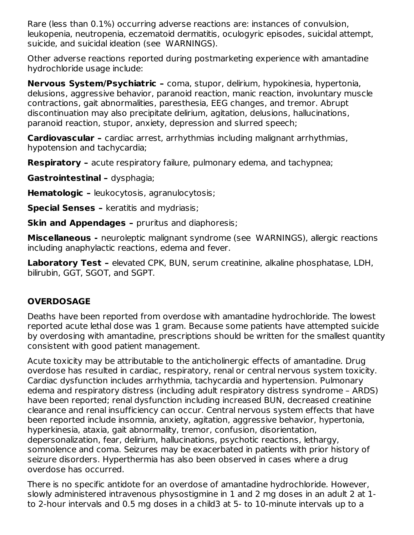Rare (less than 0.1%) occurring adverse reactions are: instances of convulsion, leukopenia, neutropenia, eczematoid dermatitis, oculogyric episodes, suicidal attempt, suicide, and suicidal ideation (see WARNINGS).

Other adverse reactions reported during postmarketing experience with amantadine hydrochloride usage include:

**Nervous System/Psychiatric –** coma, stupor, delirium, hypokinesia, hypertonia, delusions, aggressive behavior, paranoid reaction, manic reaction, involuntary muscle contractions, gait abnormalities, paresthesia, EEG changes, and tremor. Abrupt discontinuation may also precipitate delirium, agitation, delusions, hallucinations, paranoid reaction, stupor, anxiety, depression and slurred speech;

**Cardiovascular –** cardiac arrest, arrhythmias including malignant arrhythmias, hypotension and tachycardia;

**Respiratory –** acute respiratory failure, pulmonary edema, and tachypnea;

**Gastrointestinal –** dysphagia;

**Hematologic –** leukocytosis, agranulocytosis;

**Special Senses –** keratitis and mydriasis;

**Skin and Appendages –** pruritus and diaphoresis;

**Miscellaneous -** neuroleptic malignant syndrome (see WARNINGS), allergic reactions including anaphylactic reactions, edema and fever.

**Laboratory Test –** elevated CPK, BUN, serum creatinine, alkaline phosphatase, LDH, bilirubin, GGT, SGOT, and SGPT.

## **OVERDOSAGE**

Deaths have been reported from overdose with amantadine hydrochloride. The lowest reported acute lethal dose was 1 gram. Because some patients have attempted suicide by overdosing with amantadine, prescriptions should be written for the smallest quantity consistent with good patient management.

Acute toxicity may be attributable to the anticholinergic effects of amantadine. Drug overdose has resulted in cardiac, respiratory, renal or central nervous system toxicity. Cardiac dysfunction includes arrhythmia, tachycardia and hypertension. Pulmonary edema and respiratory distress (including adult respiratory distress syndrome – ARDS) have been reported; renal dysfunction including increased BUN, decreased creatinine clearance and renal insufficiency can occur. Central nervous system effects that have been reported include insomnia, anxiety, agitation, aggressive behavior, hypertonia, hyperkinesia, ataxia, gait abnormality, tremor, confusion, disorientation, depersonalization, fear, delirium, hallucinations, psychotic reactions, lethargy, somnolence and coma. Seizures may be exacerbated in patients with prior history of seizure disorders. Hyperthermia has also been observed in cases where a drug overdose has occurred.

There is no specific antidote for an overdose of amantadine hydrochloride. However, slowly administered intravenous physostigmine in 1 and 2 mg doses in an adult 2 at 1 to 2-hour intervals and 0.5 mg doses in a child3 at 5- to 10-minute intervals up to a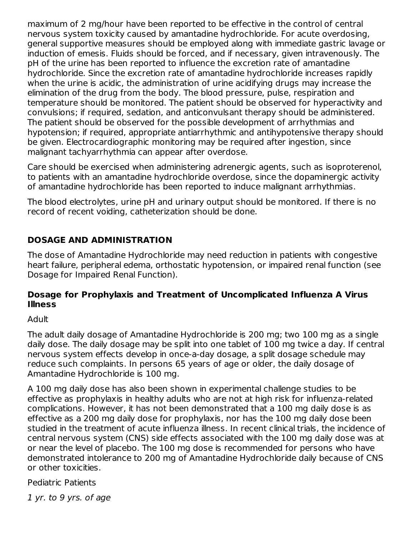maximum of 2 mg/hour have been reported to be effective in the control of central nervous system toxicity caused by amantadine hydrochloride. For acute overdosing, general supportive measures should be employed along with immediate gastric lavage or induction of emesis. Fluids should be forced, and if necessary, given intravenously. The pH of the urine has been reported to influence the excretion rate of amantadine hydrochloride. Since the excretion rate of amantadine hydrochloride increases rapidly when the urine is acidic, the administration of urine acidifying drugs may increase the elimination of the drug from the body. The blood pressure, pulse, respiration and temperature should be monitored. The patient should be observed for hyperactivity and convulsions; if required, sedation, and anticonvulsant therapy should be administered. The patient should be observed for the possible development of arrhythmias and hypotension; if required, appropriate antiarrhythmic and antihypotensive therapy should be given. Electrocardiographic monitoring may be required after ingestion, since malignant tachyarrhythmia can appear after overdose.

Care should be exercised when administering adrenergic agents, such as isoproterenol, to patients with an amantadine hydrochloride overdose, since the dopaminergic activity of amantadine hydrochloride has been reported to induce malignant arrhythmias.

The blood electrolytes, urine pH and urinary output should be monitored. If there is no record of recent voiding, catheterization should be done.

### **DOSAGE AND ADMINISTRATION**

The dose of Amantadine Hydrochloride may need reduction in patients with congestive heart failure, peripheral edema, orthostatic hypotension, or impaired renal function (see Dosage for Impaired Renal Function).

#### **Dosage for Prophylaxis and Treatment of Uncomplicated Influenza A Virus Illness**

Adult

The adult daily dosage of Amantadine Hydrochloride is 200 mg; two 100 mg as a single daily dose. The daily dosage may be split into one tablet of 100 mg twice a day. If central nervous system effects develop in once-a-day dosage, a split dosage schedule may reduce such complaints. In persons 65 years of age or older, the daily dosage of Amantadine Hydrochloride is 100 mg.

A 100 mg daily dose has also been shown in experimental challenge studies to be effective as prophylaxis in healthy adults who are not at high risk for influenza-related complications. However, it has not been demonstrated that a 100 mg daily dose is as effective as a 200 mg daily dose for prophylaxis, nor has the 100 mg daily dose been studied in the treatment of acute influenza illness. In recent clinical trials, the incidence of central nervous system (CNS) side effects associated with the 100 mg daily dose was at or near the level of placebo. The 100 mg dose is recommended for persons who have demonstrated intolerance to 200 mg of Amantadine Hydrochloride daily because of CNS or other toxicities.

Pediatric Patients

1 yr. to 9 yrs. of age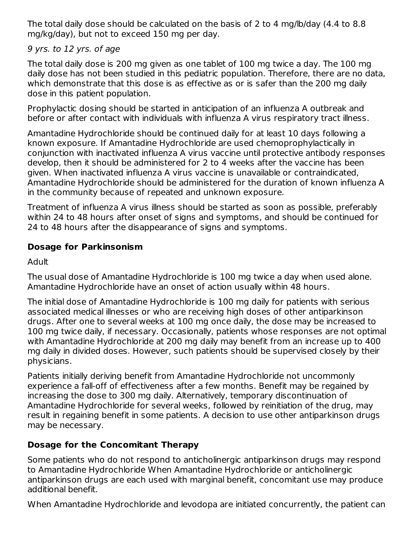The total daily dose should be calculated on the basis of 2 to 4 mg/lb/day (4.4 to 8.8 mg/kg/day), but not to exceed 150 mg per day.

### 9 yrs. to 12 yrs. of age

The total daily dose is 200 mg given as one tablet of 100 mg twice a day. The 100 mg daily dose has not been studied in this pediatric population. Therefore, there are no data, which demonstrate that this dose is as effective as or is safer than the 200 mg daily dose in this patient population.

Prophylactic dosing should be started in anticipation of an influenza A outbreak and before or after contact with individuals with influenza A virus respiratory tract illness.

Amantadine Hydrochloride should be continued daily for at least 10 days following a known exposure. If Amantadine Hydrochloride are used chemoprophylactically in conjunction with inactivated influenza A virus vaccine until protective antibody responses develop, then it should be administered for 2 to 4 weeks after the vaccine has been given. When inactivated influenza A virus vaccine is unavailable or contraindicated, Amantadine Hydrochloride should be administered for the duration of known influenza A in the community because of repeated and unknown exposure.

Treatment of influenza A virus illness should be started as soon as possible, preferably within 24 to 48 hours after onset of signs and symptoms, and should be continued for 24 to 48 hours after the disappearance of signs and symptoms.

#### **Dosage for Parkinsonism**

Adult

The usual dose of Amantadine Hydrochloride is 100 mg twice a day when used alone. Amantadine Hydrochloride have an onset of action usually within 48 hours.

The initial dose of Amantadine Hydrochloride is 100 mg daily for patients with serious associated medical illnesses or who are receiving high doses of other antiparkinson drugs. After one to several weeks at 100 mg once daily, the dose may be increased to 100 mg twice daily, if necessary. Occasionally, patients whose responses are not optimal with Amantadine Hydrochloride at 200 mg daily may benefit from an increase up to 400 mg daily in divided doses. However, such patients should be supervised closely by their physicians.

Patients initially deriving benefit from Amantadine Hydrochloride not uncommonly experience a fall-off of effectiveness after a few months. Benefit may be regained by increasing the dose to 300 mg daily. Alternatively, temporary discontinuation of Amantadine Hydrochloride for several weeks, followed by reinitiation of the drug, may result in regaining benefit in some patients. A decision to use other antiparkinson drugs may be necessary.

## **Dosage for the Concomitant Therapy**

Some patients who do not respond to anticholinergic antiparkinson drugs may respond to Amantadine Hydrochloride When Amantadine Hydrochloride or anticholinergic antiparkinson drugs are each used with marginal benefit, concomitant use may produce additional benefit.

When Amantadine Hydrochloride and levodopa are initiated concurrently, the patient can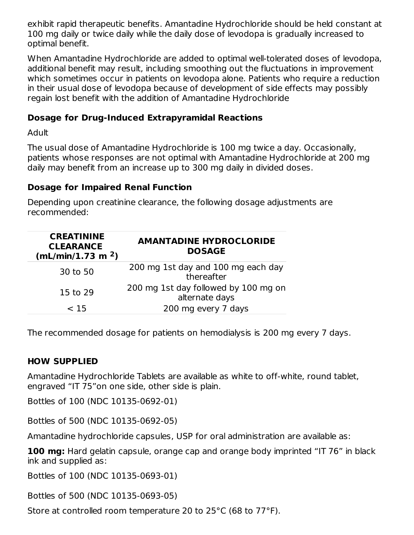exhibit rapid therapeutic benefits. Amantadine Hydrochloride should be held constant at 100 mg daily or twice daily while the daily dose of levodopa is gradually increased to optimal benefit.

When Amantadine Hydrochloride are added to optimal well-tolerated doses of levodopa, additional benefit may result, including smoothing out the fluctuations in improvement which sometimes occur in patients on levodopa alone. Patients who require a reduction in their usual dose of levodopa because of development of side effects may possibly regain lost benefit with the addition of Amantadine Hydrochloride

#### **Dosage for Drug-Induced Extrapyramidal Reactions**

Adult

The usual dose of Amantadine Hydrochloride is 100 mg twice a day. Occasionally, patients whose responses are not optimal with Amantadine Hydrochloride at 200 mg daily may benefit from an increase up to 300 mg daily in divided doses.

## **Dosage for Impaired Renal Function**

Depending upon creatinine clearance, the following dosage adjustments are recommended:

| <b>CREATININE</b><br><b>CLEARANCE</b><br>(mL/min/1.73 m <sup>2</sup> ) | <b>AMANTADINE HYDROCLORIDE</b><br><b>DOSAGE</b>        |  |  |
|------------------------------------------------------------------------|--------------------------------------------------------|--|--|
| 30 to 50                                                               | 200 mg 1st day and 100 mg each day<br>thereafter       |  |  |
| 15 to 29                                                               | 200 mg 1st day followed by 100 mg on<br>alternate days |  |  |
| $<$ 15                                                                 | 200 mg every 7 days                                    |  |  |

The recommended dosage for patients on hemodialysis is 200 mg every 7 days.

## **HOW SUPPLIED**

Amantadine Hydrochloride Tablets are available as white to off-white, round tablet, engraved "IT 75"on one side, other side is plain.

Bottles of 100 (NDC 10135-0692-01)

Bottles of 500 (NDC 10135-0692-05)

Amantadine hydrochloride capsules, USP for oral administration are available as:

**100 mg:** Hard gelatin capsule, orange cap and orange body imprinted "IT 76" in black ink and supplied as:

Bottles of 100 (NDC 10135-0693-01)

Bottles of 500 (NDC 10135-0693-05)

Store at controlled room temperature 20 to 25°C (68 to 77°F).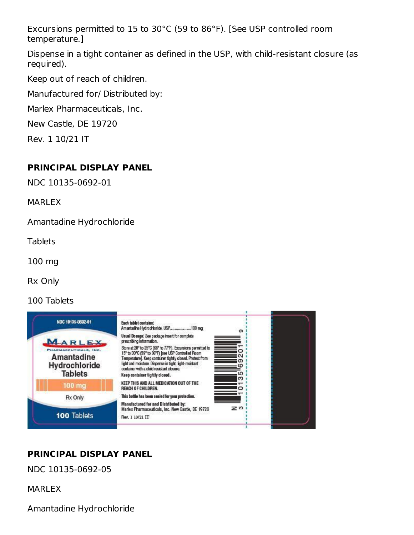Excursions permitted to 15 to 30°C (59 to 86°F). [See USP controlled room temperature.]

Dispense in a tight container as defined in the USP, with child-resistant closure (as required).

Keep out of reach of children.

Manufactured for/ Distributed by:

Marlex Pharmaceuticals, Inc.

New Castle, DE 19720

Rev. 1 10/21 IT

# **PRINCIPAL DISPLAY PANEL**

NDC 10135-0692-01

MARLEX

Amantadine Hydrochloride

**Tablets** 

100 mg

Rx Only

100 Tablets



# **PRINCIPAL DISPLAY PANEL**

NDC 10135-0692-05

MARLEX

Amantadine Hydrochloride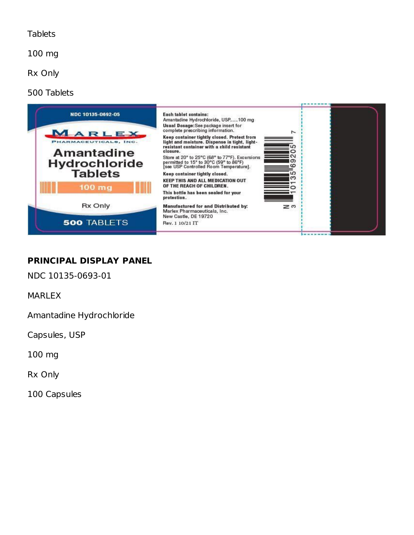**Tablets** 

100 mg

Rx Only

500 Tablets



#### **PRINCIPAL DISPLAY PANEL**

NDC 10135-0693-01

MARLEX

Amantadine Hydrochloride

Capsules, USP

100 mg

Rx Only

100 Capsules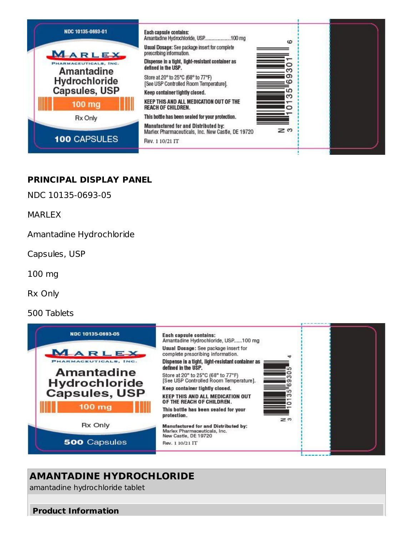

## **PRINCIPAL DISPLAY PANEL**

NDC 10135-0693-05

MARLEX

Amantadine Hydrochloride

Capsules, USP

100 mg

Rx Only

500 Tablets



# **AMANTADINE HYDROCHLORIDE**

amantadine hydrochloride tablet

**Product Information**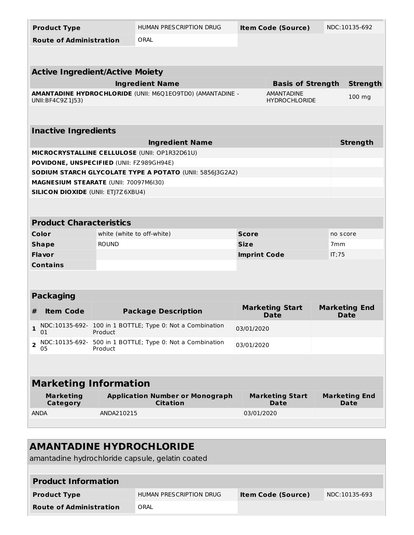|                                                                                 | <b>Product Type</b>                             |              | HUMAN PRESCRIPTION DRUG                                   | <b>Item Code (Source)</b>             |                                           |                 | NDC:10135-692                       |  |  |
|---------------------------------------------------------------------------------|-------------------------------------------------|--------------|-----------------------------------------------------------|---------------------------------------|-------------------------------------------|-----------------|-------------------------------------|--|--|
|                                                                                 | <b>Route of Administration</b>                  |              | ORAL                                                      |                                       |                                           |                 |                                     |  |  |
|                                                                                 |                                                 |              |                                                           |                                       |                                           |                 |                                     |  |  |
|                                                                                 |                                                 |              |                                                           |                                       |                                           |                 |                                     |  |  |
|                                                                                 | <b>Active Ingredient/Active Moiety</b>          |              |                                                           |                                       |                                           |                 |                                     |  |  |
|                                                                                 |                                                 |              | <b>Ingredient Name</b>                                    |                                       | <b>Basis of Strength</b>                  |                 | <b>Strength</b>                     |  |  |
| AMANTADINE HYDROCHLORIDE (UNII: M6Q1EO9TD0) (AMANTADINE -<br>UNII: BF4C9Z 1J53) |                                                 |              |                                                           |                                       | <b>AMANTADINE</b><br><b>HYDROCHLORIDE</b> |                 | 100 mg                              |  |  |
|                                                                                 |                                                 |              |                                                           |                                       |                                           |                 |                                     |  |  |
|                                                                                 | <b>Inactive Ingredients</b>                     |              |                                                           |                                       |                                           |                 |                                     |  |  |
|                                                                                 |                                                 |              | <b>Ingredient Name</b>                                    |                                       |                                           |                 | <b>Strength</b>                     |  |  |
|                                                                                 |                                                 |              | MICROCRYSTALLINE CELLULOSE (UNII: OP1R32D61U)             |                                       |                                           |                 |                                     |  |  |
|                                                                                 | <b>POVIDONE, UNSPECIFIED (UNII: FZ989GH94E)</b> |              |                                                           |                                       |                                           |                 |                                     |  |  |
|                                                                                 |                                                 |              | SODIUM STARCH GLYCOLATE TYPE A POTATO (UNII: 5856J3G2A2)  |                                       |                                           |                 |                                     |  |  |
|                                                                                 | MAGNESIUM STEARATE (UNII: 70097M6I30)           |              |                                                           |                                       |                                           |                 |                                     |  |  |
|                                                                                 | <b>SILICON DIOXIDE (UNII: ETJ7Z6XBU4)</b>       |              |                                                           |                                       |                                           |                 |                                     |  |  |
|                                                                                 |                                                 |              |                                                           |                                       |                                           |                 |                                     |  |  |
|                                                                                 |                                                 |              |                                                           |                                       |                                           |                 |                                     |  |  |
|                                                                                 | <b>Product Characteristics</b>                  |              |                                                           |                                       |                                           |                 |                                     |  |  |
|                                                                                 | Color                                           |              | white (white to off-white)                                | <b>Score</b>                          |                                           | no score        |                                     |  |  |
|                                                                                 | <b>Shape</b>                                    | <b>ROUND</b> |                                                           | <b>Size</b>                           |                                           | 7 <sub>mm</sub> |                                     |  |  |
|                                                                                 | <b>Flavor</b>                                   |              |                                                           | <b>Imprint Code</b>                   |                                           |                 | IT;75                               |  |  |
| <b>Contains</b>                                                                 |                                                 |              |                                                           |                                       |                                           |                 |                                     |  |  |
|                                                                                 |                                                 |              |                                                           |                                       |                                           |                 |                                     |  |  |
|                                                                                 |                                                 |              |                                                           |                                       |                                           |                 |                                     |  |  |
|                                                                                 | <b>Packaging</b>                                |              |                                                           |                                       |                                           |                 |                                     |  |  |
| #                                                                               | <b>Item Code</b>                                |              | <b>Package Description</b>                                | <b>Marketing Start</b><br><b>Date</b> |                                           |                 | <b>Marketing End</b><br><b>Date</b> |  |  |
| $\mathbf{1}$                                                                    | 01                                              | Product      | NDC:10135-692- 100 in 1 BOTTLE; Type 0: Not a Combination |                                       | 03/01/2020                                |                 |                                     |  |  |
| $\overline{\mathbf{c}}$                                                         | NDC:10135-692-<br>05                            | Product      | 500 in 1 BOTTLE; Type 0: Not a Combination                |                                       | 03/01/2020                                |                 |                                     |  |  |
|                                                                                 |                                                 |              |                                                           |                                       |                                           |                 |                                     |  |  |
|                                                                                 |                                                 |              |                                                           |                                       |                                           |                 |                                     |  |  |
| <b>Marketing Information</b>                                                    |                                                 |              |                                                           |                                       |                                           |                 |                                     |  |  |
|                                                                                 | <b>Marketing</b><br><b>Category</b>             |              | <b>Application Number or Monograph</b><br><b>Citation</b> |                                       | <b>Marketing Start</b><br><b>Date</b>     |                 | <b>Marketing End</b><br><b>Date</b> |  |  |
| <b>ANDA</b><br>ANDA210215                                                       |                                                 |              |                                                           | 03/01/2020                            |                                           |                 |                                     |  |  |
|                                                                                 |                                                 |              |                                                           |                                       |                                           |                 |                                     |  |  |
|                                                                                 |                                                 |              |                                                           |                                       |                                           |                 |                                     |  |  |
| <b>AMANTADINE HYDROCHLORIDE</b>                                                 |                                                 |              |                                                           |                                       |                                           |                 |                                     |  |  |
| amantadine hydrochloride capsule, gelatin coated                                |                                                 |              |                                                           |                                       |                                           |                 |                                     |  |  |
|                                                                                 |                                                 |              |                                                           |                                       |                                           |                 |                                     |  |  |
|                                                                                 |                                                 |              |                                                           |                                       |                                           |                 |                                     |  |  |
|                                                                                 | <b>Product Information</b>                      |              |                                                           |                                       |                                           |                 |                                     |  |  |

**Product Type HUMAN PRESCRIPTION DRUG Item Code (Source)** NDC:10135-693

**Route of Administration** ORAL